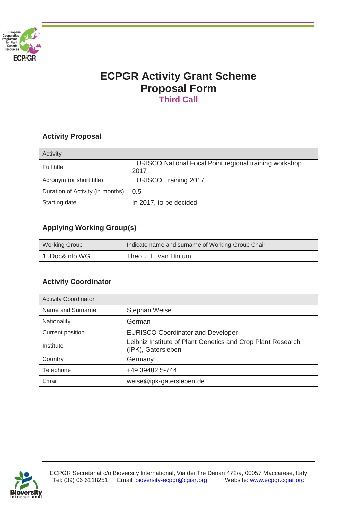

# **ECPGR Activity Grant Scheme Proposal Form Third Call**

# **Activity Proposal**

| Activity                         |                                                                 |
|----------------------------------|-----------------------------------------------------------------|
| Full title                       | EURISCO National Focal Point regional training workshop<br>2017 |
| Acronym (or short title)         | <b>EURISCO Training 2017</b>                                    |
| Duration of Activity (in months) | 0.5                                                             |
| Starting date                    | In 2017, to be decided                                          |

# **Applying Working Group(s)**

| Indicate name and surname of Working Group Chair<br><b>Working Group</b> |                       |
|--------------------------------------------------------------------------|-----------------------|
| 1. Doc&Info WG                                                           | Theo J. L. van Hintum |

# **Activity Coordinator**

| <b>Activity Coordinator</b> |                                                                                   |
|-----------------------------|-----------------------------------------------------------------------------------|
| Name and Surname            | Stephan Weise                                                                     |
| Nationality                 | German                                                                            |
| <b>Current position</b>     | <b>EURISCO Coordinator and Developer</b>                                          |
| Institute                   | Leibniz Institute of Plant Genetics and Crop Plant Research<br>(IPK), Gatersleben |
| Country                     | Germany                                                                           |
| Telephone                   | +49 39482 5-744                                                                   |
| Email                       | weise@ipk-gatersleben.de                                                          |

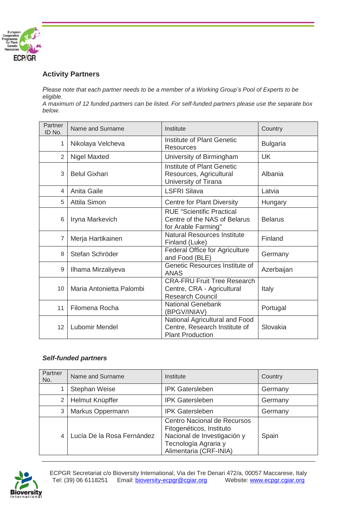

## **Activity Partners**

*Please note that each partner needs to be a member of a Working Group's Pool of Experts to be eligible.* 

*A maximum of 12 funded partners can be listed. For self-funded partners please use the separate box below.*

| Partner<br>ID No. | Name and Surname         | Institute                                                                                   | Country         |
|-------------------|--------------------------|---------------------------------------------------------------------------------------------|-----------------|
| 1                 | Nikolaya Velcheva        | Institute of Plant Genetic<br>Resources                                                     | <b>Bulgaria</b> |
| $\overline{2}$    | <b>Nigel Maxted</b>      | University of Birmingham                                                                    | <b>UK</b>       |
| 3                 | <b>Belul Gixhari</b>     | Institute of Plant Genetic<br>Resources, Agricultural<br>University of Tirana               | Albania         |
| 4                 | Anita Gaile              | <b>LSFRI Silava</b>                                                                         | Latvia          |
| 5                 | <b>Attila Simon</b>      | <b>Centre for Plant Diversity</b>                                                           | Hungary         |
| 6                 | Iryna Markevich          | <b>RUE "Scientific Practical</b><br>Centre of the NAS of Belarus<br>for Arable Farming"     | <b>Belarus</b>  |
| $\overline{7}$    | Merja Hartikainen        | <b>Natural Resources Institute</b><br>Finland (Luke)                                        | Finland         |
| 8                 | Stefan Schröder          | Federal Office for Agriculture<br>and Food (BLE)                                            | Germany         |
| 9                 | Ilhama Mirzaliyeva       | Genetic Resources Institute of<br><b>ANAS</b>                                               | Azerbaijan      |
| 10                | Maria Antonietta Palombi | <b>CRA-FRU Fruit Tree Research</b><br>Centre, CRA - Agricultural<br><b>Research Council</b> | Italy           |
| 11                | Filomena Rocha           | <b>National Genebank</b><br>(BPGV/INIAV)                                                    | Portugal        |
| 12                | <b>Lubomir Mendel</b>    | National Agricultural and Food<br>Centre, Research Institute of<br><b>Plant Production</b>  | Slovakia        |

## *Self-funded partners*

| Partner<br>No. | Name and Surname           | Institute                                                                                                                                | Country |
|----------------|----------------------------|------------------------------------------------------------------------------------------------------------------------------------------|---------|
|                | Stephan Weise              | <b>IPK Gatersleben</b>                                                                                                                   | Germany |
| 2              | Helmut Knüpffer            | <b>IPK Gatersleben</b>                                                                                                                   | Germany |
| 3              | Markus Oppermann           | <b>IPK Gatersleben</b>                                                                                                                   | Germany |
| 4              | Lucía De la Rosa Fernández | Centro Nacional de Recursos<br>Fitogenéticos, Instituto<br>Nacional de Investigación y<br>Tecnología Agraria y<br>Alimentaria (CRF-INIA) | Spain   |

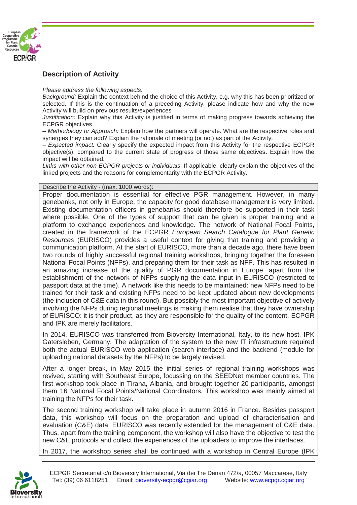

#### **Description of Activity**

*Please address the following aspects:* 

*Background:* Explain the context behind the choice of this Activity, e.g. why this has been prioritized or selected. If this is the continuation of a preceding Activity, please indicate how and why the new Activity will build on previous results/experiences

*Justification:* Explain why this Activity is justified in terms of making progress towards achieving the ECPGR objectives

*– Methodology or Approach:* Explain how the partners will operate. What are the respective roles and synergies they can add? Explain the rationale of meeting (or not) as part of the Activity.

*– Expected impact.* Clearly specify the expected impact from this Activity for the respective ECPGR objective(s), compared to the current state of progress of those same objectives. Explain how the impact will be obtained.

*Links with other non-ECPGR projects or individuals*: If applicable, clearly explain the objectives of the linked projects and the reasons for complementarity with the ECPGR Activity.

Describe the Activity - (max. 1000 words):

Proper documentation is essential for effective PGR management. However, in many genebanks, not only in Europe, the capacity for good database management is very limited. Existing documentation officers in genebanks should therefore be supported in their task where possible. One of the types of support that can be given is proper training and a platform to exchange experiences and knowledge. The network of National Focal Points, created in the framework of the ECPGR *European Search Catalogue for Plant Genetic Resources* (EURISCO) provides a useful context for giving that training and providing a communication platform. At the start of EURISCO, more than a decade ago, there have been two rounds of highly successful regional training workshops, bringing together the foreseen National Focal Points (NFPs), and preparing them for their task as NFP. This has resulted in an amazing increase of the quality of PGR documentation in Europe, apart from the establishment of the network of NFPs supplying the data input in EURISCO (restricted to passport data at the time). A network like this needs to be maintained: new NFPs need to be trained for their task and existing NFPs need to be kept updated about new developments (the inclusion of C&E data in this round). But possibly the most important objective of actively involving the NFPs during regional meetings is making them realise that they have ownership of EURISCO: it is their product, as they are responsible for the quality of the content. ECPGR and IPK are merely facilitators.

In 2014, EURISCO was transferred from Bioversity International, Italy, to its new host, IPK Gatersleben, Germany. The adaptation of the system to the new IT infrastructure required both the actual EURISCO web application (search interface) and the backend (module for uploading national datasets by the NFPs) to be largely revised.

After a longer break, in May 2015 the initial series of regional training workshops was revived, starting with Southeast Europe, focussing on the SEEDNet member countries. The first workshop took place in Tirana, Albania, and brought together 20 participants, amongst them 16 National Focal Points/National Coordinators. This workshop was mainly aimed at training the NFPs for their task.

The second training workshop will take place in autumn 2016 in France. Besides passport data, this workshop will focus on the preparation and upload of characterisation and evaluation (C&E) data. EURISCO was recently extended for the management of C&E data. Thus, apart from the training component, the workshop will also have the objective to test the new C&E protocols and collect the experiences of the uploaders to improve the interfaces.

In 2017, the workshop series shall be continued with a workshop in Central Europe (IPK

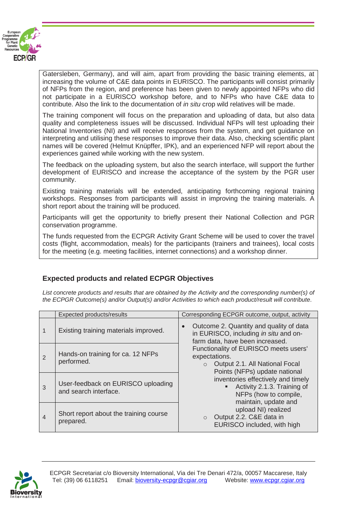

Gatersleben, Germany), and will aim, apart from providing the basic training elements, at increasing the volume of C&E data points in EURISCO. The participants will consist primarily of NFPs from the region, and preference has been given to newly appointed NFPs who did not participate in a EURISCO workshop before, and to NFPs who have C&E data to contribute. Also the link to the documentation of *in situ* crop wild relatives will be made.

The training component will focus on the preparation and uploading of data, but also data quality and completeness issues will be discussed. Individual NFPs will test uploading their National Inventories (NI) and will receive responses from the system, and get guidance on interpreting and utilising these responses to improve their data. Also, checking scientific plant names will be covered (Helmut Knüpffer, IPK), and an experienced NFP will report about the experiences gained while working with the new system.

The feedback on the uploading system, but also the search interface, will support the further development of EURISCO and increase the acceptance of the system by the PGR user community.

Existing training materials will be extended, anticipating forthcoming regional training workshops. Responses from participants will assist in improving the training materials. A short report about the training will be produced.

Participants will get the opportunity to briefly present their National Collection and PGR conservation programme.

The funds requested from the ECPGR Activity Grant Scheme will be used to cover the travel costs (flight, accommodation, meals) for the participants (trainers and trainees), local costs for the meeting (e.g. meeting facilities, internet connections) and a workshop dinner.

## **Expected products and related ECPGR Objectives**

List concrete products and results that are obtained by the Activity and the corresponding number(s) of *the ECPGR Outcome(s) and/or Output(s) and/or Activities to which each product/result will contribute.*

|   | Expected products/results                                   | Corresponding ECPGR outcome, output, activity                                                                             |
|---|-------------------------------------------------------------|---------------------------------------------------------------------------------------------------------------------------|
|   | Existing training materials improved.                       | Outcome 2. Quantity and quality of data<br>in EURISCO, including in situ and on-<br>farm data, have been increased.       |
| 2 | Hands-on training for ca. 12 NFPs<br>performed.             | Functionality of EURISCO meets users'<br>expectations.<br>Output 2.1. All National Focal<br>Points (NFPs) update national |
| 3 | User-feedback on EURISCO uploading<br>and search interface. | inventories effectively and timely<br>Activity 2.1.3. Training of<br>٠<br>NFPs (how to compile,<br>maintain, update and   |
| 4 | Short report about the training course<br>prepared.         | upload NI) realized<br>Output 2.2. C&E data in<br>EURISCO included, with high                                             |